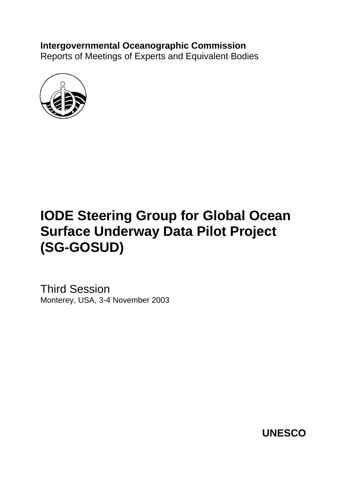# **Intergovernmental Oceanographic Commission**

Reports of Meetings of Experts and Equivalent Bodies



# **IODE Steering Group for Global Ocean Surface Underway Data Pilot Project (SG-GOSUD)**

Third Session Monterey, USA, 3-4 November 2003

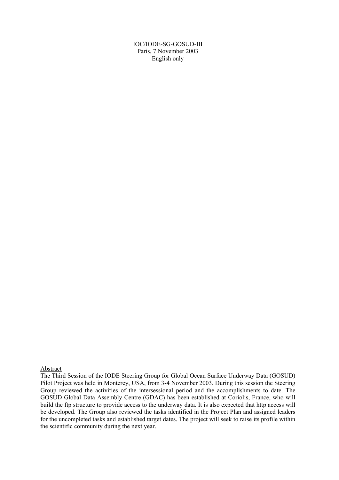IOC/IODE-SG-GOSUD-III Paris, 7 November 2003 English only

#### Abstract

The Third Session of the IODE Steering Group for Global Ocean Surface Underway Data (GOSUD) Pilot Project was held in Monterey, USA, from 3-4 November 2003. During this session the Steering Group reviewed the activities of the intersessional period and the accomplishments to date. The GOSUD Global Data Assembly Centre (GDAC) has been established at Coriolis, France, who will build the ftp structure to provide access to the underway data. It is also expected that http access will be developed. The Group also reviewed the tasks identified in the Project Plan and assigned leaders for the uncompleted tasks and established target dates. The project will seek to raise its profile within the scientific community during the next year.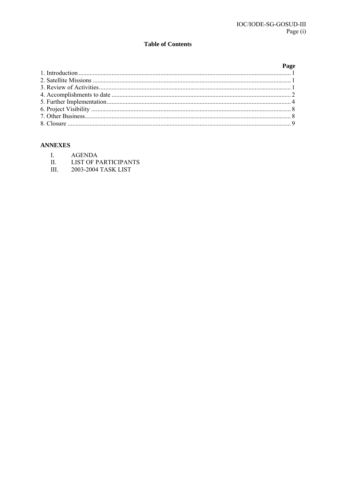#### **Table of Contents**

| Page |
|------|
|      |
|      |
|      |
|      |
|      |
|      |
|      |
|      |

#### **ANNEXES**

- $\overline{L}$ **AGENDA**
- $II.$ **LIST OF PARTICIPANTS**
- III. 2003-2004 TASK LIST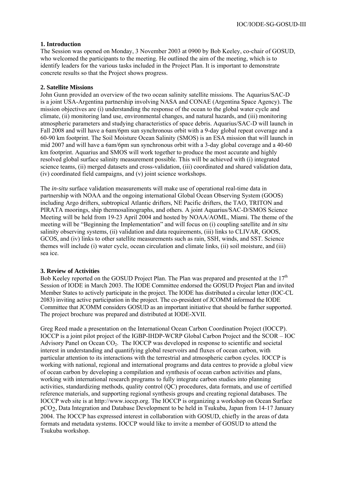#### **1. Introduction**

The Session was opened on Monday, 3 November 2003 at 0900 by Bob Keeley, co-chair of GOSUD, who welcomed the participants to the meeting. He outlined the aim of the meeting, which is to identify leaders for the various tasks included in the Project Plan. It is important to demonstrate concrete results so that the Project shows progress.

#### **2. Satellite Missions**

John Gunn provided an overview of the two ocean salinity satellite missions. The Aquarius/SAC-D is a joint USA-Argentina partnership involving NASA and CONAE (Argentina Space Agency). The mission objectives are (i) understanding the response of the ocean to the global water cycle and climate, (ii) monitoring land use, environmental changes, and natural hazards, and (iii) monitoring atmospheric parameters and studying characteristics of space debris. Aquarius/SAC-D will launch in Fall 2008 and will have a 6am/6pm sun synchronous orbit with a 9-day global repeat coverage and a 60-90 km footprint. The Soil Moisture Ocean Salinity (SMOS) is an ESA mission that will launch in mid 2007 and will have a 6am/6pm sun synchronous orbit with a 3-day global coverage and a 40-60 km footprint. Aquarius and SMOS will work together to produce the most accurate and highly resolved global surface salinity measurement possible. This will be achieved with (i) integrated science teams, (ii) merged datasets and cross-validation, (iii) coordinated and shared validation data, (iv) coordinated field campaigns, and (v) joint science workshops.

The *in-situ* surface validation measurements will make use of operational real-time data in partnership with NOAA and the ongoing international Global Ocean Observing System (GOOS) including Argo drifters, subtropical Atlantic drifters, NE Pacific drifters, the TAO, TRITON and PIRATA moorings, ship thermosalinographs, and others. A joint Aquarius/SAC-D/SMOS Science Meeting will be held from 19-23 April 2004 and hosted by NOAA/AOML, Miami. The theme of the meeting will be "Beginning the Implementation" and will focus on (i) coupling satellite and *in situ* salinity observing systems, (ii) validation and data requirements, (iii) links to CLIVAR, GOOS, GCOS, and (iv) links to other satellite measurements such as rain, SSH, winds, and SST. Science themes will include (i) water cycle, ocean circulation and climate links, (ii) soil moisture, and (iii) sea ice.

#### **3. Review of Activities**

Bob Keeley reported on the GOSUD Project Plan. The Plan was prepared and presented at the  $17<sup>th</sup>$ Session of IODE in March 2003. The IODE Committee endorsed the GOSUD Project Plan and invited Member States to actively participate in the project. The IODE has distributed a circular letter (IOC-CL 2083) inviting active participation in the project. The co-president of JCOMM informed the IODE Committee that JCOMM considers GOSUD as an important initiative that should be further supported. The project brochure was prepared and distributed at IODE-XVII.

Greg Reed made a presentation on the International Ocean Carbon Coordination Project (IOCCP). IOCCP is a joint pilot project of the IGBP-IHDP-WCRP Global Carbon Project and the SCOR – IOC Advisory Panel on Ocean  $CO<sub>2</sub>$ . The IOCCP was developed in response to scientific and societal interest in understanding and quantifying global reservoirs and fluxes of ocean carbon, with particular attention to its interactions with the terrestrial and atmospheric carbon cycles. IOCCP is working with national, regional and international programs and data centres to provide a global view of ocean carbon by developing a compilation and synthesis of ocean carbon activities and plans, working with international research programs to fully integrate carbon studies into planning activities, standardizing methods, quality control (QC) procedures, data formats, and use of certified reference materials, and supporting regional synthesis groups and creating regional databases. The IOCCP web site is at http://www.ioccp.org. The IOCCP is organizing a workshop on Ocean Surface pCO2, Data Integration and Database Development to be held in Tsukuba, Japan from 14-17 January 2004. The IOCCP has expressed interest in collaboration with GOSUD, chiefly in the areas of data formats and metadata systems. IOCCP would like to invite a member of GOSUD to attend the Tsukuba workshop.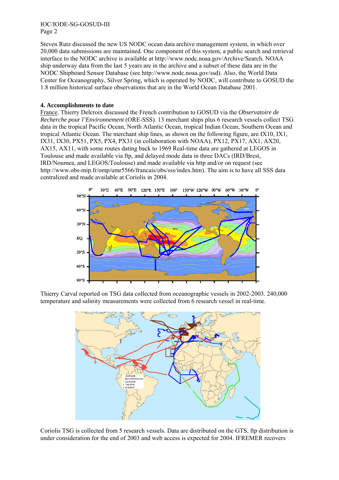IOC/IODE-SG-GOSUD-III Page 2

Steven Rutz discussed the new US NODC ocean data archive management system, in which over 20,000 data submissions are maintained. One component of this system, a public search and retrieval interface to the NODC archive is available at http://www.nodc.noaa.gov/Archive/Search. NOAA ship underway data from the last 5 years are in the archive and a subset of these data are in the NODC Shipboard Sensor Database (see http://www.nodc.noaa.gov/ssd). Also, the World Data Center for Oceanography, Silver Spring, which is operated by NODC, will contribute to GOSUD the 1.8 million historical surface observations that are in the World Ocean Database 2001.

#### **4. Accomplishments to date**

France. Thierry Delcroix discussed the French contribution to GOSUD via the *Observatoire de Recherche pour l'Environnement* (ORE-SSS). 13 merchant ships plus 6 research vessels collect TSG data in the tropical Pacific Ocean, North Atlantic Ocean, tropical Indian Ocean, Southern Ocean and tropical Atlantic Ocean. The merchant ship lines, as shown on the following figure, are IX10, IX1, IX31, IX30, PX51, PX5, PX4, PX31 (in collaboration with NOAA), PX12, PX17, AX1, AX20, AX15, AX11, with some routes dating back to 1969 Real-time data are gathered at LEGOS in Toulouse and made available via ftp, and delayed mode data in three DACs (IRD/Brest, IRD/Noumea, and LEGOS/Toulouse) and made available via http and/or on request (see http://www.obs-mip.fr/omp/umr5566/francais/obs/sss/index.htm). The aim is to have all SSS data centralized and made available at Coriolis in 2004.



Thierry Carval reported on TSG data collected from oceanographic vessels in 2002-2003. 240,000 temperature and salinity measurements were collected from 6 research vessel in real-time.



Coriolis TSG is collected from 5 research vessels. Data are distributed on the GTS, ftp distribution is under consideration for the end of 2003 and web access is expected for 2004. IFREMER recovers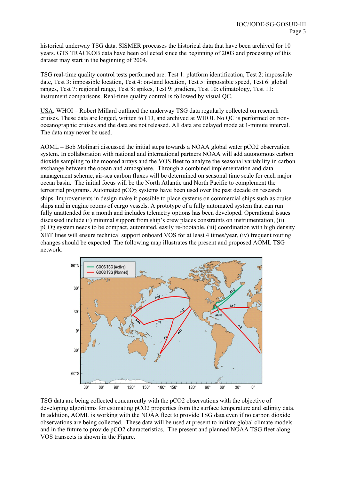historical underway TSG data. SISMER processes the historical data that have been archived for 10 years. GTS TRACKOB data have been collected since the beginning of 2003 and processing of this dataset may start in the beginning of 2004.

TSG real-time quality control tests performed are: Test 1: platform identification, Test 2: impossible date, Test 3: impossible location, Test 4: on-land location, Test 5: impossible speed, Test 6: global ranges, Test 7: regional range, Test 8: spikes, Test 9: gradient, Test 10: climatology, Test 11: instrument comparisons. Real-time quality control is followed by visual QC.

USA. WHOI – Robert Millard outlined the underway TSG data regularly collected on research cruises. These data are logged, written to CD, and archived at WHOI. No QC is performed on nonoceanographic cruises and the data are not released. All data are delayed mode at 1-minute interval. The data may never be used.

AOML – Bob Molinari discussed the initial steps towards a NOAA global water pCO2 observation system. In collaboration with national and international partners NOAA will add autonomous carbon dioxide sampling to the moored arrays and the VOS fleet to analyze the seasonal variability in carbon exchange between the ocean and atmosphere. Through a combined implementation and data management scheme, air-sea carbon fluxes will be determined on seasonal time scale for each major ocean basin. The initial focus will be the North Atlantic and North Pacific to complement the terrestrial programs. Automated pCO2 systems have been used over the past decade on research ships. Improvements in design make it possible to place systems on commercial ships such as cruise ships and in engine rooms of cargo vessels. A prototype of a fully automated system that can run fully unattended for a month and includes telemetry options has been developed. Operational issues discussed include (i) minimal support from ship's crew places constraints on instrumentation, (ii) pCO2 system needs to be compact, automated, easily re-bootable, (iii) coordination with high density XBT lines will ensure technical support onboard VOS for at least 4 times/year, (iv) frequent routing changes should be expected. The following map illustrates the present and proposed AOML TSG network:



TSG data are being collected concurrently with the pCO2 observations with the objective of developing algorithms for estimating pCO2 properties from the surface temperature and salinity data. In addition, AOML is working with the NOAA fleet to provide TSG data even if no carbon dioxide observations are being collected. These data will be used at present to initiate global climate models and in the future to provide pCO2 characteristics. The present and planned NOAA TSG fleet along VOS transects is shown in the Figure.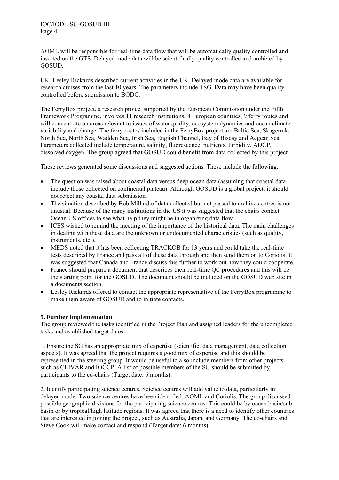AOML will be responsible for real-time data flow that will be automatically quality controlled and inserted on the GTS. Delayed mode data will be scientifically quality controlled and archived by GOSUD.

UK. Lesley Rickards described current activities in the UK. Delayed mode data are available for research cruises from the last 10 years. The parameters include TSG. Data may have been quality controlled before submission to BODC.

The FerryBox project, a research project supported by the European Commission under the Fifth Framework Programme, involves 11 research institutions, 8 European countries, 9 ferry routes and will concentrate on areas relevant to issues of water quality, ecosystem dynamics and ocean climate variability and change. The ferry routes included in the FerryBox project are Baltic Sea, Skagerrak, North Sea, North Sea, Wadden Sea, Irish Sea, English Channel, Bay of Biscay and Aegean Sea. Parameters collected include temperature, salinity, fluorescence, nutrients, turbidity, ADCP, dissolved oxygen. The group agreed that GOSUD could benefit from data collected by this project.

These reviews generated some discussions and suggested actions. These include the following.

- The question was raised about coastal data versus deep ocean data (assuming that coastal data include those collected on continental plateau). Although GOSUD is a global project, it should not reject any coastal data submission.
- The situation described by Bob Millard of data collected but not passed to archive centres is not unusual. Because of the many institutions in the US it was suggested that the chairs contact Ocean.US offices to see what help they might be in organizing data flow.
- ICES wished to remind the meeting of the importance of the historical data. The main challenges in dealing with these data are the unknown or undocumented characteristics (such as quality, instruments, etc.).
- MEDS noted that it has been collecting TRACKOB for 13 years and could take the real-time tests described by France and pass all of these data through and then send them on to Coriolis. It was suggested that Canada and France discuss this further to work out how they could cooperate.
- France should prepare a document that describes their real-time QC procedures and this will be the starting point for the GOSUD. The document should be included on the GOSUD web site in a documents section.
- Lesley Rickards offered to contact the appropriate representative of the FerryBox programme to make them aware of GOSUD and to initiate contacts.

#### **5. Further Implementation**

The group reviewed the tasks identified in the Project Plan and assigned leaders for the uncompleted tasks and established target dates.

1. Ensure the SG has an appropriate mix of expertise (scientific, data management, data collection aspects). It was agreed that the project requires a good mix of expertise and this should be represented in the steering group. It would be useful to also include members from other projects such as CLIVAR and IOCCP. A list of possible members of the SG should be submitted by participants to the co-chairs (Target date: 6 months).

2. Identify participating science centres. Science centres will add value to data, particularly in delayed mode. Two science centres have been identified: AOML and Coriolis. The group discussed possible geographic divisions for the participating science centres. This could be by ocean basin/sub basin or by tropical/high latitude regions. It was agreed that there is a need to identify other countries that are interested in joining the project, such as Australia, Japan, and Germany. The co-chairs and Steve Cook will make contact and respond (Target date: 6 months).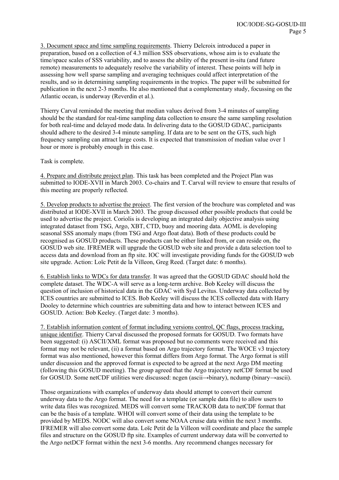3. Document space and time sampling requirements. Thierry Delcroix introduced a paper in preparation, based on a collection of 4.3 million SSS observations, whose aim is to evaluate the time/space scales of SSS variability, and to assess the ability of the present in-situ (and future remote) measurements to adequately resolve the variability of interest. These points will help in assessing how well sparse sampling and averaging techniques could affect interpretation of the results, and so in determining sampling requirements in the tropics. The paper will be submitted for publication in the next 2-3 months. He also mentioned that a complementary study, focussing on the Atlantic ocean, is underway (Reverdin et al.).

Thierry Carval reminded the meeting that median values derived from 3-4 minutes of sampling should be the standard for real-time sampling data collection to ensure the same sampling resolution for both real-time and delayed mode data. In delivering data to the GOSUD GDAC, participants should adhere to the desired 3-4 minute sampling. If data are to be sent on the GTS, such high frequency sampling can attract large costs. It is expected that transmission of median value over 1 hour or more is probably enough in this case.

Task is complete.

4. Prepare and distribute project plan. This task has been completed and the Project Plan was submitted to IODE-XVII in March 2003. Co-chairs and T. Carval will review to ensure that results of this meeting are properly reflected.

5. Develop products to advertise the project. The first version of the brochure was completed and was distributed at IODE-XVII in March 2003. The group discussed other possible products that could be used to advertise the project. Coriolis is developing an integrated daily objective analysis using integrated dataset from TSG, Argo, XBT, CTD, buoy and mooring data. AOML is developing seasonal SSS anomaly maps (from TSG and Argo float data). Both of these products could be recognised as GOSUD products. These products can be either linked from, or can reside on, the GOSUD web site. IFREMER will upgrade the GOSUD web site and provide a data selection tool to access data and download from an ftp site. IOC will investigate providing funds for the GOSUD web site upgrade. Action: Loïc Petit de la Villeon, Greg Reed. (Target date: 6 months).

6. Establish links to WDCs for data transfer. It was agreed that the GOSUD GDAC should hold the complete dataset. The WDC-A will serve as a long-term archive. Bob Keeley will discuss the question of inclusion of historical data in the GDAC with Syd Levitus. Underway data collected by ICES countries are submitted to ICES. Bob Keeley will discuss the ICES collected data with Harry Dooley to determine which countries are submitting data and how to interact between ICES and GOSUD. Action: Bob Keeley. (Target date: 3 months).

7. Establish information content of format including versions control, QC flags, process tracking, unique identifier. Thierry Carval discussed the proposed formats for GOSUD. Two formats have been suggested: (i) ASCII/XML format was proposed but no comments were received and this format may not be relevant, (ii) a format based on Argo trajectory format. The WOCE v3 trajectory format was also mentioned, however this format differs from Argo format. The Argo format is still under discussion and the approved format is expected to be agreed at the next Argo DM meeting (following this GOSUD meeting). The group agreed that the Argo trajectory netCDF format be used for GOSUD. Some netCDF utilities were discussed: ncgen (ascii→binary), ncdump (binary→ascii).

Those organizations with examples of underway data should attempt to convert their current underway data to the Argo format. The need for a template (or sample data file) to allow users to write data files was recognized. MEDS will convert some TRACKOB data to netCDF format that can be the basis of a template. WHOI will convert some of their data using the template to be provided by MEDS. NODC will also convert some NOAA cruise data within the next 3 months. IFREMER will also convert some data. Loïc Petit de la Villeon will coordinate and place the sample files and structure on the GOSUD ftp site. Examples of current underway data will be converted to the Argo netDCF format within the next 3-6 months. Any recommend changes necessary for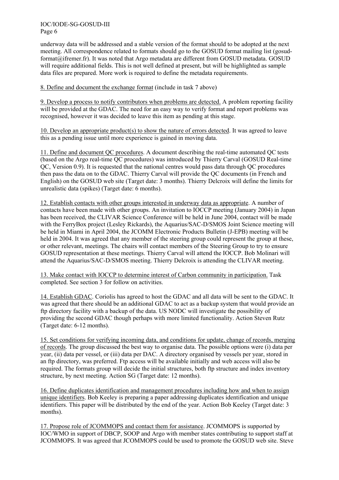IOC/IODE-SG-GOSUD-III Page 6

underway data will be addressed and a stable version of the format should to be adopted at the next meeting. All correspondence related to formats should go to the GOSUD format mailing list (gosudformat@ifremer.fr). It was noted that Argo metadata are different from GOSUD metadata. GOSUD will require additional fields. This is not well defined at present, but will be highlighted as sample data files are prepared. More work is required to define the metadata requirements.

#### 8. Define and document the exchange format (include in task 7 above)

9. Develop a process to notify contributors when problems are detected. A problem reporting facility will be provided at the GDAC. The need for an easy way to verify format and report problems was recognised, however it was decided to leave this item as pending at this stage.

10. Develop an appropriate product(s) to show the nature of errors detected. It was agreed to leave this as a pending issue until more experience is gained in moving data.

11. Define and document QC procedures. A document describing the real-time automated QC tests (based on the Argo real-time QC procedures) was introduced by Thierry Carval (GOSUD Real-time QC, Version 0.9). It is requested that the national centres would pass data through QC procedures then pass the data on to the GDAC. Thierry Carval will provide the QC documents (in French and English) on the GOSUD web site (Target date: 3 months). Thierry Delcroix will define the limits for unrealistic data (spikes) (Target date: 6 months).

12. Establish contacts with other groups interested in underway data as appropriate. A number of contacts have been made with other groups. An invitation to IOCCP meeting (January 2004) in Japan has been received, the CLIVAR Science Conference will be held in June 2004, contact will be made with the FerryBox project (Lesley Rickards), the Aquarius/SAC-D/SMOS Joint Science meeting will be held in Miami in April 2004, the JCOMM Electronic Products Bulletin (J-EPB) meeting will be held in 2004. It was agreed that any member of the steering group could represent the group at these, or other relevant, meetings. The chairs will contact members of the Steering Group to try to ensure GOSUD representation at these meetings. Thierry Carval will attend the IOCCP. Bob Molinari will attend the Aquarius/SAC-D/SMOS meeting. Thierry Delcroix is attending the CLIVAR meeting.

13. Make contact with IOCCP to determine interest of Carbon community in participation. Task completed. See section 3 for follow on activities.

14. Establish GDAC. Coriolis has agreed to host the GDAC and all data will be sent to the GDAC. It was agreed that there should be an additional GDAC to act as a backup system that would provide an ftp directory facility with a backup of the data. US NODC will investigate the possibility of providing the second GDAC though perhaps with more limited functionality. Action Steven Rutz (Target date: 6-12 months).

15. Set conditions for verifying incoming data, and conditions for update, change of records, merging of records. The group discussed the best way to organise data. The possible options were (i) data per year, (ii) data per vessel, or (iii) data per DAC. A directory organised by vessels per year, stored in an ftp directory, was preferred. Ftp access will be available initially and web access will also be required. The formats group will decide the initial structures, both ftp structure and index inventory structure, by next meeting. Action SG (Target date: 12 months).

16. Define duplicates identification and management procedures including how and when to assign unique identifiers. Bob Keeley is preparing a paper addressing duplicates identification and unique identifiers. This paper will be distributed by the end of the year. Action Bob Keeley (Target date: 3 months).

17. Propose role of JCOMMOPS and contact them for assistance. JCOMMOPS is supported by IOC/WMO in support of DBCP, SOOP and Argo with member states contributing to support staff at JCOMMOPS. It was agreed that JCOMMOPS could be used to promote the GOSUD web site. Steve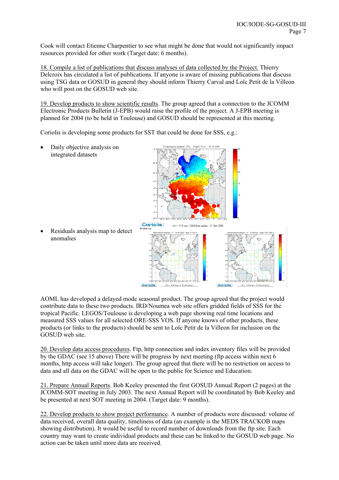Cook will contact Etienne Charpentier to see what might be done that would not significantly impact resources provided for other work (Target date: 6 months).

18. Compile a list of publications that discuss analyses of data collected by the Project. Thierry Delcroix has circulated a list of publications. If anyone is aware of missing publications that discuss using TSG data or GOSUD in general they should inform Thierry Carval and Loïc Petit de la Villeon who will post on the GOSUD web site.

19. Develop products to show scientific results. The group agreed that a connection to the JCOMM Electronic Products Bulletin (J-EPB) would raise the profile of the project. A J-EPB meeting is planned for 2004 (to be held in Toulouse) and GOSUD should be represented at this meeting.

Coriolis is developing some products for SST that could be done for SSS, e.g.:

• Daily objective analysis on integrated datasets

• Residuals analysis map to detect anomalies

AOML has developed a delayed mode seasonal product. The group agreed that the project would contribute data to these two products. IRD/Noumea web site offers gridded fields of SSS for the tropical Pacific. LEGOS/Toulouse is developing a web page showing real time locations and measured SSS values for all selected ORE-SSS VOS. If anyone knows of other products, these products (or links to the products) should be sent to Loïc Petit de la Villeon for inclusion on the GOSUD web site.

20. Develop data access procedures. Ftp, http connection and index inventory files will be provided by the GDAC (see 15 above) There will be progress by next meeting (ftp access within next 6 months, http access will take longer). The group agreed that there will be no restriction on access to data and all data on the GDAC will be open to the public for Science and Education.

21. Prepare Annual Reports. Bob Keeley presented the first GOSUD Annual Report (2 pages) at the JCOMM-SOT meeting in July 2003. The next Annual Report will be coordinated by Bob Keeley and be presented at next SOT meeting in 2004. (Target date: 9 months).

22. Develop products to show project performance. A number of products were discussed: volume of data received, overall data quality, timeliness of data (an example is the MEDS TRACKOB maps showing distribution). It would be useful to record number of downloads from the ftp site. Each country may want to create individual products and these can be linked to the GOSUD web page. No action can be taken until more data are received.

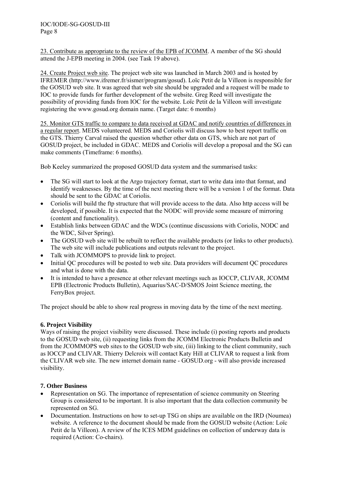23. Contribute as appropriate to the review of the EPB of JCOMM. A member of the SG should attend the J-EPB meeting in 2004. (see Task 19 above).

24. Create Project web site. The project web site was launched in March 2003 and is hosted by IFREMER (http://www.ifremer.fr/sismer/program/gosud). Loïc Petit de la Villeon is responsible for the GOSUD web site. It was agreed that web site should be upgraded and a request will be made to IOC to provide funds for further development of the website. Greg Reed will investigate the possibility of providing funds from IOC for the website. Loïc Petit de la Villeon will investigate registering the www.gosud.org domain name. (Target date: 6 months)

25. Monitor GTS traffic to compare to data received at GDAC and notify countries of differences in a regular report. MEDS volunteered. MEDS and Coriolis will discuss how to best report traffic on the GTS. Thierry Carval raised the question whether other data on GTS, which are not part of GOSUD project, be included in GDAC. MEDS and Coriolis will develop a proposal and the SG can make comments (Timeframe: 6 months).

Bob Keeley summarized the proposed GOSUD data system and the summarised tasks:

- The SG will start to look at the Argo trajectory format, start to write data into that format, and identify weaknesses. By the time of the next meeting there will be a version 1 of the format. Data should be sent to the GDAC at Coriolis.
- Coriolis will build the ftp structure that will provide access to the data. Also http access will be developed, if possible. It is expected that the NODC will provide some measure of mirroring (content and functionality).
- Establish links between GDAC and the WDCs (continue discussions with Coriolis, NODC and the WDC, Silver Spring).
- The GOSUD web site will be rebuilt to reflect the available products (or links to other products). The web site will include publications and outputs relevant to the project.
- Talk with JCOMMOPS to provide link to project.
- Initial QC procedures will be posted to web site. Data providers will document QC procedures and what is done with the data.
- It is intended to have a presence at other relevant meetings such as IOCCP, CLIVAR, JCOMM EPB (Electronic Products Bulletin), Aquarius/SAC-D/SMOS Joint Science meeting, the FerryBox project.

The project should be able to show real progress in moving data by the time of the next meeting.

#### **6. Project Visibility**

Ways of raising the project visibility were discussed. These include (i) posting reports and products to the GOSUD web site, (ii) requesting links from the JCOMM Electronic Products Bulletin and from the JCOMMOPS web sites to the GOSUD web site, (iii) linking to the client community, such as IOCCP and CLIVAR. Thierry Delcroix will contact Katy Hill at CLIVAR to request a link from the CLIVAR web site. The new internet domain name - GOSUD.org - will also provide increased visibility.

#### **7. Other Business**

- Representation on SG. The importance of representation of science community on Steering Group is considered to be important. It is also important that the data collection community be represented on SG.
- Documentation. Instructions on how to set-up TSG on ships are available on the IRD (Noumea) website. A reference to the document should be made from the GOSUD website (Action: Loïc Petit de la Villeon). A review of the ICES MDM guidelines on collection of underway data is required (Action: Co-chairs).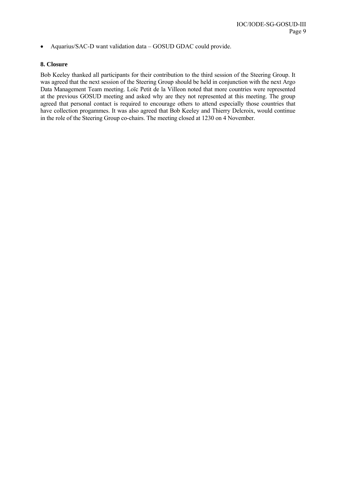• Aquarius/SAC-D want validation data – GOSUD GDAC could provide.

#### **8. Closure**

Bob Keeley thanked all participants for their contribution to the third session of the Steering Group. It was agreed that the next session of the Steering Group should be held in conjunction with the next Argo Data Management Team meeting. Loïc Petit de la Villeon noted that more countries were represented at the previous GOSUD meeting and asked why are they not represented at this meeting. The group agreed that personal contact is required to encourage others to attend especially those countries that have collection progammes. It was also agreed that Bob Keeley and Thierry Delcroix, would continue in the role of the Steering Group co-chairs. The meeting closed at 1230 on 4 November.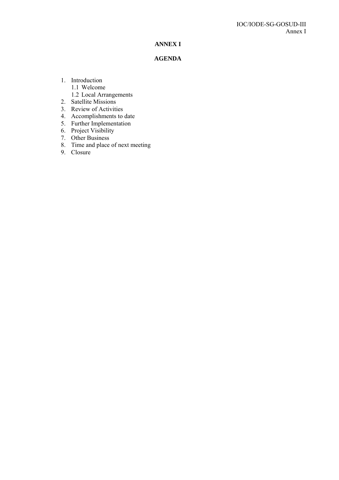#### **ANNEX I**

#### **AGENDA**

- 1. Introduction
	- 1.1 Welcome
	- 1.2 Local Arrangements
- 2. Satellite Missions
- 3. Review of Activities
- 4. Accomplishments to date
- 5. Further Implementation
- 6. Project Visibility
- 7. Other Business
- 8. Time and place of next meeting
- 9. Closure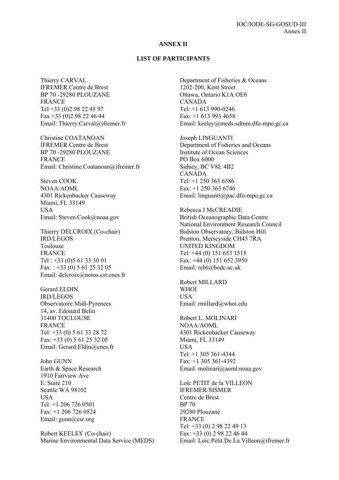#### **ANNEX II**

#### **LIST OF PARTICIPANTS**

Thierry CARVAL IFREMER Centre de Brest BP 70 -29280 PLOUZANE FRANCE Tel +33 (0)2 98 22 45 97 Fax +33 (0)2 98 22 46 44 Email: Thierry.Carval@ifremer.fr

Christine COATANOAN IFREMER Centre de Brest BP 70 -29280 PLOUZANE FRANCE Email: Christine.Coatanoan@ifremer.fr

Steven COOK NOAA/AOML 4301 Rickenbacker Causeway Miami, FL 33149 **USA** Email: Steven.Cook@noaa.gov

Thierry DELCROIX (Co-chair) IRD/LEGOS Toulouse FRANCE Tel : +33 (0)5 61 33 30 01 Fax: :  $+33$  (0) 5 61 25 32 05 Email: delcroix@notos.cst.cnes.fr

Gerard ELDIN IRD/LEGOS Observatoire Midi-Pyrenees 14, av. Edouard Belin 31400 TOULOUSE **FRANCE** Tel: +33 (0) 5 61 33 28 72 Fax: +33 (0) 5 61 25 32 05 Email: Gerard.Eldin@cnes.fr

John GUNN Earth & Space Research 1910 Fairview Ave E. Suite 210 Seattle WA 98102 **USA** Tel: +1 206 726 0501 Fax: +1 206 726 0524 Email: gunn@esr.org

Robert KEELEY (Co-chair) Marine Environmental Data Service (MEDS) Department of Fisheries & Oceans 1202-200, Kent Street Ottawa, Ontario K1A OE6 CANADA Tel: +1 613 990-0246 Fax: +1 613 993 4658 Email: keeley@meds-sdmm.dfo-mpo.gc.ca

Joseph LINGUANTI Department of Fisheries and Oceans Institute of Ocean Sciences PO Box 6000 Sidney, BC V8L 4B2 CANADA Tel:  $+1$  250 363 6586 Fax: +1 250 363 6746 Email: linguanti@pac.dfo-mpo.gc.ca

Rebecca J McCREADIE British Oceanographic Data Centre National Environment Research Council Bidston Observatory, Bidston Hill Prenton, Merseyside CH43 7RA UNITED KINGDOM Tel: +44 (0) 151 653 1515 Fax: +44 (0) 151 652 3950 Email: rebl@bodc.ac.uk

Robert MILLARD WHOI USA Email: rmillard@whoi.edu

Robert L. MOLINARI NOAA/AOML 4301 Rickenbacker Causeway Miami, FL 33149 USA Tel: +1 305 361-4344 Fax: +1 305 361-4392 Email: molinari@aoml.noaa.gov

Loïc PETIT de la VILLEON IFREMER/SISMER Centre de Brest BP 70 29280 Plouzané FRANCE Tel: +33 (0) 2 98 22 49 13 Fax: +33 (0) 2 98 22 46 44 Email: Loic.Petit.De.La.Villeon@ifremer.fr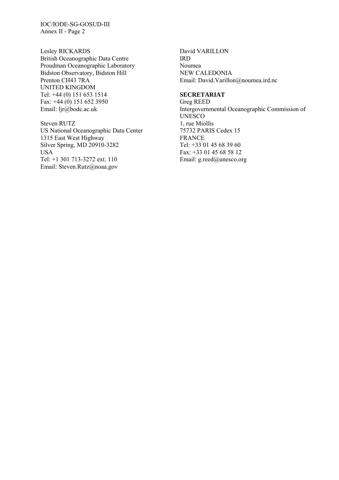IOC/IODE-SG-GOSUD-III Annex II - Page 2

Lesley RICKARDS British Oceanographic Data Centre Proudman Oceanographic Laboratory Bidston Observatory, Bidston Hill Prenton CH43 7RA UNITED KINGDOM Tel: +44 (0) 151 653 1514 Fax: +44 (0) 151 652 3950 Email: ljr@bodc.ac.uk

Steven RUTZ US National Oceanographic Data Center 1315 East West Highway Silver Spring, MD 20910-3282 USA Tel: +1 301 713-3272 ext. 110 Email: Steven.Rutz@noaa.gov

David VARILLON IRD Noumea NEW CALEDONIA Email: David.Varillon@noumea.ird.nc

#### **SECRETARIAT**

Greg REED Intergovernmental Oceanographic Commission of UNESCO 1, rue Miollis 75732 PARIS Cedex 15 FRANCE Tel: +33 01 45 68 39 60 Fax: +33 01 45 68 58 12 Email: g.reed@unesco.org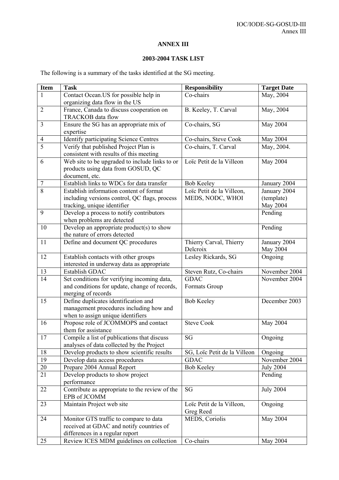## **ANNEX III**

### **2003-2004 TASK LIST**

The following is a summary of the tasks identified at the SG meeting.

| <b>Item</b>    | <b>Task</b>                                                               | <b>Responsibility</b>                          | <b>Target Date</b>           |
|----------------|---------------------------------------------------------------------------|------------------------------------------------|------------------------------|
| 1              | Contact Ocean. US for possible help in                                    | Co-chairs                                      | May, 2004                    |
|                | organizing data flow in the US                                            |                                                |                              |
| $\overline{2}$ | France, Canada to discuss cooperation on                                  | B. Keeley, T. Carval                           | May, 2004                    |
|                | TRACKOB data flow                                                         |                                                |                              |
| $\overline{3}$ | Ensure the SG has an appropriate mix of                                   | Co-chairs, SG                                  | May 2004                     |
|                | expertise                                                                 |                                                |                              |
| $\overline{4}$ | <b>Identify participating Science Centres</b>                             | Co-chairs, Steve Cook                          | May 2004                     |
| $\overline{5}$ | Verify that published Project Plan is                                     | Co-chairs, T. Carval                           | May, 2004.                   |
|                | consistent with results of this meeting                                   |                                                |                              |
| 6              | Web site to be upgraded to include links to or                            | Loïc Petit de la Villeon                       | May 2004                     |
|                | products using data from GOSUD, QC                                        |                                                |                              |
| $\overline{7}$ | document, etc.<br>Establish links to WDCs for data transfer               |                                                |                              |
| $\overline{8}$ | Establish information content of format                                   | <b>Bob Keeley</b><br>Loïc Petit de la Villeon, | January 2004<br>January 2004 |
|                | including versions control, QC flags, process                             | MEDS, NODC, WHOI                               | (template)                   |
|                | tracking, unique identifier                                               |                                                | May 2004                     |
| 9              | Develop a process to notify contributors                                  |                                                | Pending                      |
|                | when problems are detected                                                |                                                |                              |
| 10             | Develop an appropriate product(s) to show                                 |                                                | Pending                      |
|                | the nature of errors detected                                             |                                                |                              |
| 11             | Define and document QC procedures                                         | Thierry Carval, Thierry                        | January 2004                 |
|                |                                                                           | Delcroix                                       | May 2004                     |
| 12             | Establish contacts with other groups                                      | Lesley Rickards, SG                            | Ongoing                      |
|                | interested in underway data as appropriate                                |                                                |                              |
| 13             | <b>Establish GDAC</b>                                                     | Steven Rutz, Co-chairs                         | November 2004                |
| 14             | Set conditions for verifying incoming data,                               | <b>GDAC</b>                                    | November 2004                |
|                | and conditions for update, change of records,                             | Formats Group                                  |                              |
|                | merging of records                                                        |                                                |                              |
| 15             | Define duplicates identification and                                      | <b>Bob Keeley</b>                              | December 2003                |
|                | management procedures including how and                                   |                                                |                              |
| 16             | when to assign unique identifiers<br>Propose role of JCOMMOPS and contact | <b>Steve Cook</b>                              | May 2004                     |
|                | them for assistance                                                       |                                                |                              |
| 17             | Compile a list of publications that discuss                               | SG                                             | Ongoing                      |
|                | analyses of data collected by the Project                                 |                                                |                              |
| 18             | Develop products to show scientific results                               | SG, Loïc Petit de la Villeon                   | Ongoing                      |
| 19             | Develop data access procedures                                            | <b>GDAC</b>                                    | November 2004                |
| 20             | Prepare 2004 Annual Report                                                | <b>Bob Keeley</b>                              | <b>July 2004</b>             |
| 21             | Develop products to show project                                          |                                                | Pending                      |
|                | performance                                                               |                                                |                              |
| 22             | Contribute as appropriate to the review of the                            | <b>SG</b>                                      | <b>July 2004</b>             |
|                | EPB of JCOMM                                                              |                                                |                              |
| 23             | Maintain Project web site                                                 | Loïc Petit de la Villeon,                      | Ongoing                      |
|                |                                                                           | Greg Reed                                      |                              |
| 24             | Monitor GTS traffic to compare to data                                    | MEDS, Coriolis                                 | May 2004                     |
|                | received at GDAC and notify countries of                                  |                                                |                              |
| 25             | differences in a regular report                                           | Co-chairs                                      | May 2004                     |
|                | Review ICES MDM guidelines on collection                                  |                                                |                              |